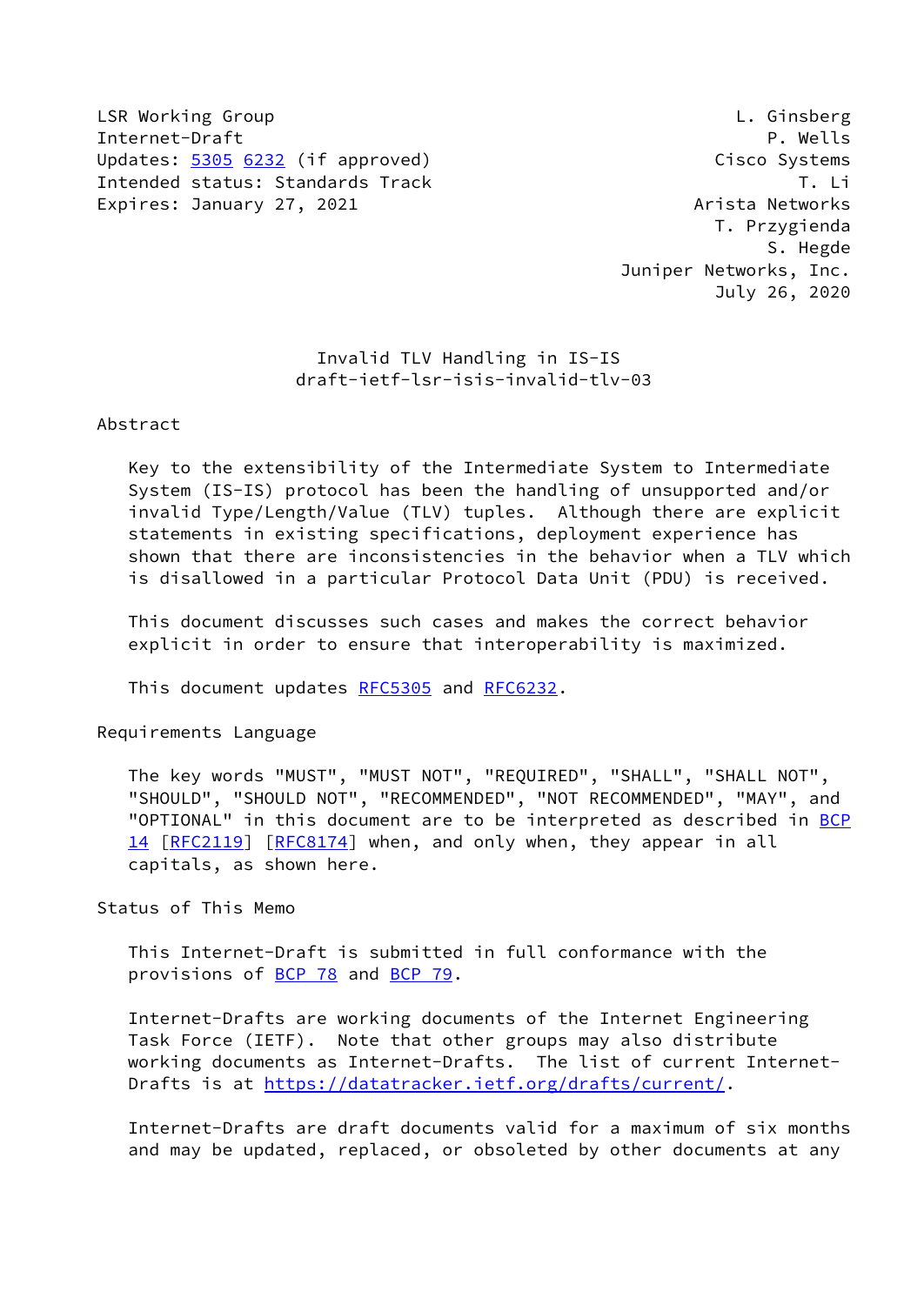LSR Working Group L. Ginsberg Internet-Draft P. Wells Updates: [5305](https://datatracker.ietf.org/doc/pdf/rfc5305) [6232](https://datatracker.ietf.org/doc/pdf/rfc6232) (if approved) Cisco Systems Intended status: Standards Track T. Li Expires: January 27, 2021 Arista Networks

 T. Przygienda S. Hegde Juniper Networks, Inc. July 26, 2020

## Invalid TLV Handling in IS-IS draft-ietf-lsr-isis-invalid-tlv-03

### Abstract

 Key to the extensibility of the Intermediate System to Intermediate System (IS-IS) protocol has been the handling of unsupported and/or invalid Type/Length/Value (TLV) tuples. Although there are explicit statements in existing specifications, deployment experience has shown that there are inconsistencies in the behavior when a TLV which is disallowed in a particular Protocol Data Unit (PDU) is received.

 This document discusses such cases and makes the correct behavior explicit in order to ensure that interoperability is maximized.

This document updates [RFC5305](https://datatracker.ietf.org/doc/pdf/rfc5305) and [RFC6232](https://datatracker.ietf.org/doc/pdf/rfc6232).

Requirements Language

 The key words "MUST", "MUST NOT", "REQUIRED", "SHALL", "SHALL NOT", "SHOULD", "SHOULD NOT", "RECOMMENDED", "NOT RECOMMENDED", "MAY", and "OPTIONAL" in this document are to be interpreted as described in [BCP](https://datatracker.ietf.org/doc/pdf/bcp14) [14](https://datatracker.ietf.org/doc/pdf/bcp14) [[RFC2119\]](https://datatracker.ietf.org/doc/pdf/rfc2119) [\[RFC8174](https://datatracker.ietf.org/doc/pdf/rfc8174)] when, and only when, they appear in all capitals, as shown here.

Status of This Memo

 This Internet-Draft is submitted in full conformance with the provisions of [BCP 78](https://datatracker.ietf.org/doc/pdf/bcp78) and [BCP 79](https://datatracker.ietf.org/doc/pdf/bcp79).

 Internet-Drafts are working documents of the Internet Engineering Task Force (IETF). Note that other groups may also distribute working documents as Internet-Drafts. The list of current Internet- Drafts is at<https://datatracker.ietf.org/drafts/current/>.

 Internet-Drafts are draft documents valid for a maximum of six months and may be updated, replaced, or obsoleted by other documents at any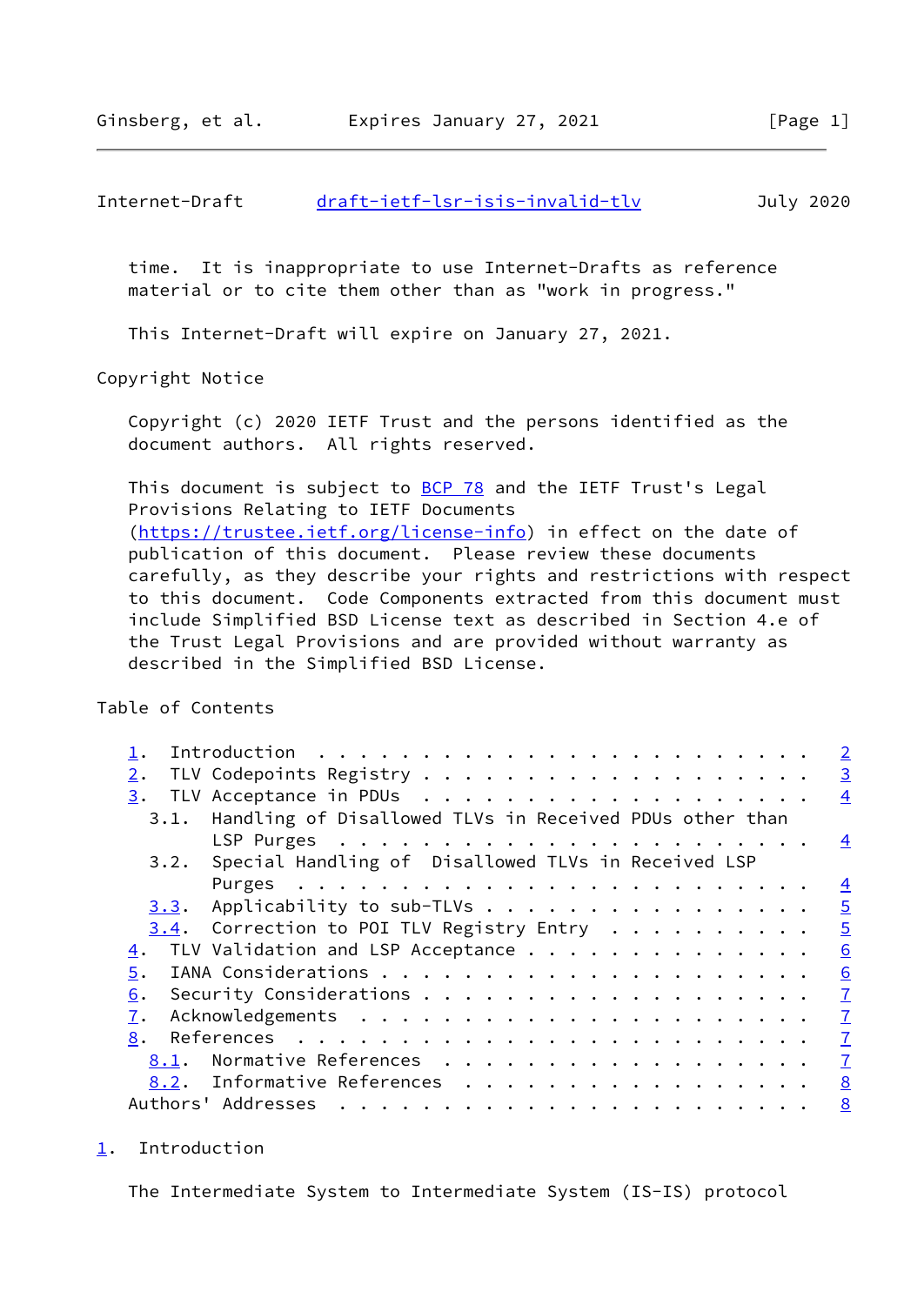<span id="page-1-1"></span> time. It is inappropriate to use Internet-Drafts as reference material or to cite them other than as "work in progress."

This Internet-Draft will expire on January 27, 2021.

Copyright Notice

 Copyright (c) 2020 IETF Trust and the persons identified as the document authors. All rights reserved.

This document is subject to **[BCP 78](https://datatracker.ietf.org/doc/pdf/bcp78)** and the IETF Trust's Legal Provisions Relating to IETF Documents [\(https://trustee.ietf.org/license-info](https://trustee.ietf.org/license-info)) in effect on the date of publication of this document. Please review these documents carefully, as they describe your rights and restrictions with respect to this document. Code Components extracted from this document must include Simplified BSD License text as described in Section 4.e of the Trust Legal Provisions and are provided without warranty as described in the Simplified BSD License.

Table of Contents

|            | $\overline{2}$                                                 |
|------------|----------------------------------------------------------------|
| 2.         | $\overline{3}$                                                 |
| 3.         | $\overline{4}$                                                 |
| 3.1.       | Handling of Disallowed TLVs in Received PDUs other than        |
|            | $\overline{4}$                                                 |
|            | 3.2. Special Handling of Disallowed TLVs in Received LSP       |
|            | $\overline{4}$                                                 |
|            | $\overline{5}$<br>3.3. Applicability to sub-TLVs               |
|            | $\overline{5}$<br>$3.4$ . Correction to POI TLV Registry Entry |
| <u>4</u> . | TLV Validation and LSP Acceptance<br>6                         |
| 5.         | 6                                                              |
| 6.         | $\overline{1}$                                                 |
| 7.         | $\overline{1}$                                                 |
| 8.         | $\overline{1}$                                                 |
| 8.1.       | Normative References<br>$\overline{1}$                         |
|            | 8.2. Informative References<br>8                               |
|            | 8                                                              |

<span id="page-1-0"></span>[1](#page-1-0). Introduction

The Intermediate System to Intermediate System (IS-IS) protocol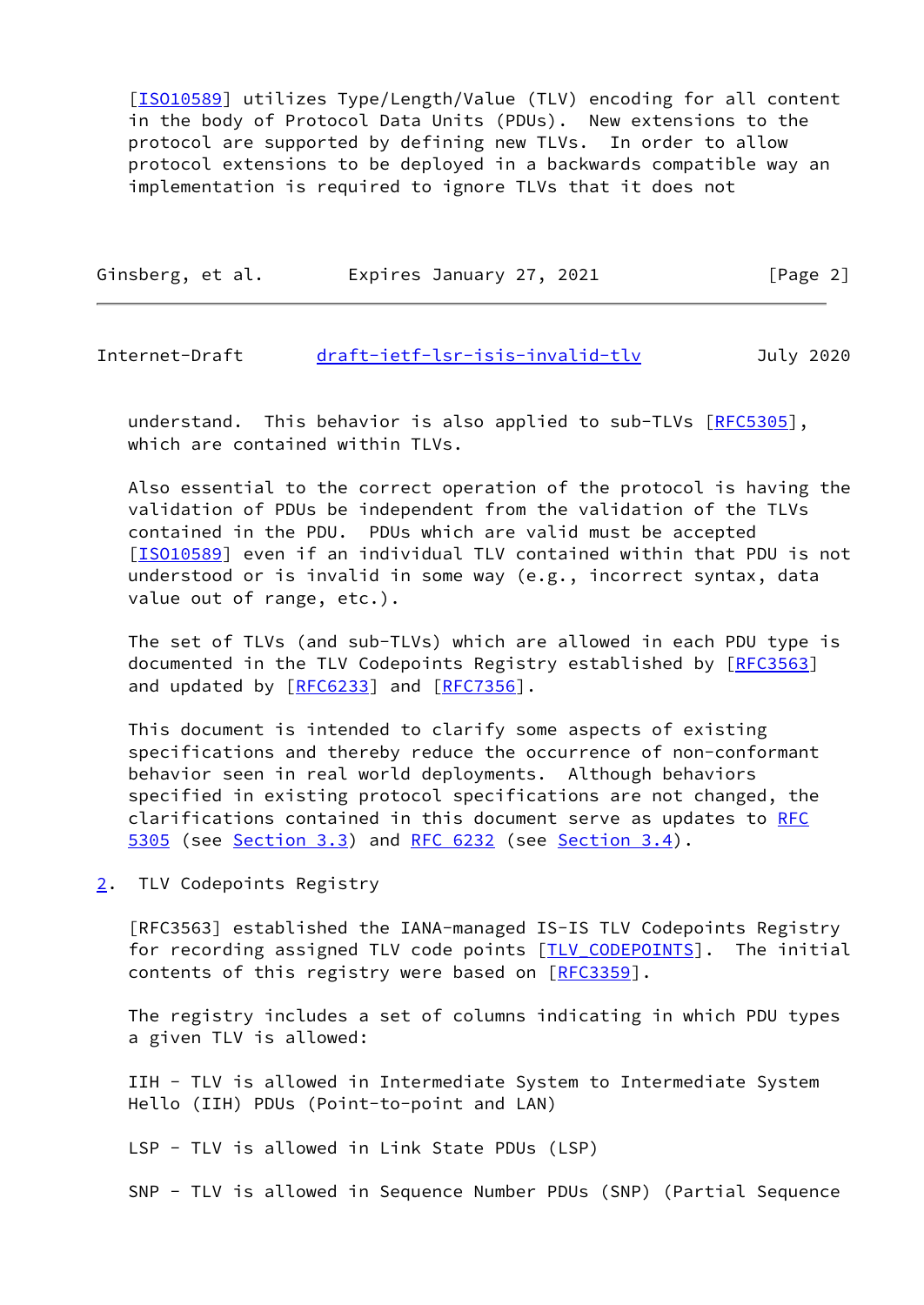[\[ISO10589](#page-3-2)] utilizes Type/Length/Value (TLV) encoding for all content in the body of Protocol Data Units (PDUs). New extensions to the protocol are supported by defining new TLVs. In order to allow protocol extensions to be deployed in a backwards compatible way an implementation is required to ignore TLVs that it does not

| Ginsberg, et al. | Expires January 27, 2021 | [Page 2] |
|------------------|--------------------------|----------|
|                  |                          |          |

<span id="page-2-1"></span>Internet-Draft [draft-ietf-lsr-isis-invalid-tlv](https://datatracker.ietf.org/doc/pdf/draft-ietf-lsr-isis-invalid-tlv) July 2020

understand. This behavior is also applied to sub-TLVs [\[RFC5305](https://datatracker.ietf.org/doc/pdf/rfc5305)], which are contained within TLVs.

 Also essential to the correct operation of the protocol is having the validation of PDUs be independent from the validation of the TLVs contained in the PDU. PDUs which are valid must be accepted [\[ISO10589](#page-3-2)] even if an individual TLV contained within that PDU is not understood or is invalid in some way (e.g., incorrect syntax, data value out of range, etc.).

 The set of TLVs (and sub-TLVs) which are allowed in each PDU type is documented in the TLV Codepoints Registry established by [\[RFC3563](https://datatracker.ietf.org/doc/pdf/rfc3563)] and updated by [\[RFC6233](https://datatracker.ietf.org/doc/pdf/rfc6233)] and [\[RFC7356](https://datatracker.ietf.org/doc/pdf/rfc7356)].

 This document is intended to clarify some aspects of existing specifications and thereby reduce the occurrence of non-conformant behavior seen in real world deployments. Although behaviors specified in existing protocol specifications are not changed, the clarifications contained in this document serve as updates to [RFC](https://datatracker.ietf.org/doc/pdf/rfc5305) [5305](https://datatracker.ietf.org/doc/pdf/rfc5305) (see [Section 3.3](#page-4-0)) and [RFC 6232](https://datatracker.ietf.org/doc/pdf/rfc6232) (see [Section 3.4](#page-5-0)).

<span id="page-2-0"></span>[2](#page-2-0). TLV Codepoints Registry

 [RFC3563] established the IANA-managed IS-IS TLV Codepoints Registry for recording assigned TLV code points [TLV CODEPOINTS]. The initial contents of this registry were based on [\[RFC3359](https://datatracker.ietf.org/doc/pdf/rfc3359)].

 The registry includes a set of columns indicating in which PDU types a given TLV is allowed:

 IIH - TLV is allowed in Intermediate System to Intermediate System Hello (IIH) PDUs (Point-to-point and LAN)

LSP - TLV is allowed in Link State PDUs (LSP)

SNP - TLV is allowed in Sequence Number PDUs (SNP) (Partial Sequence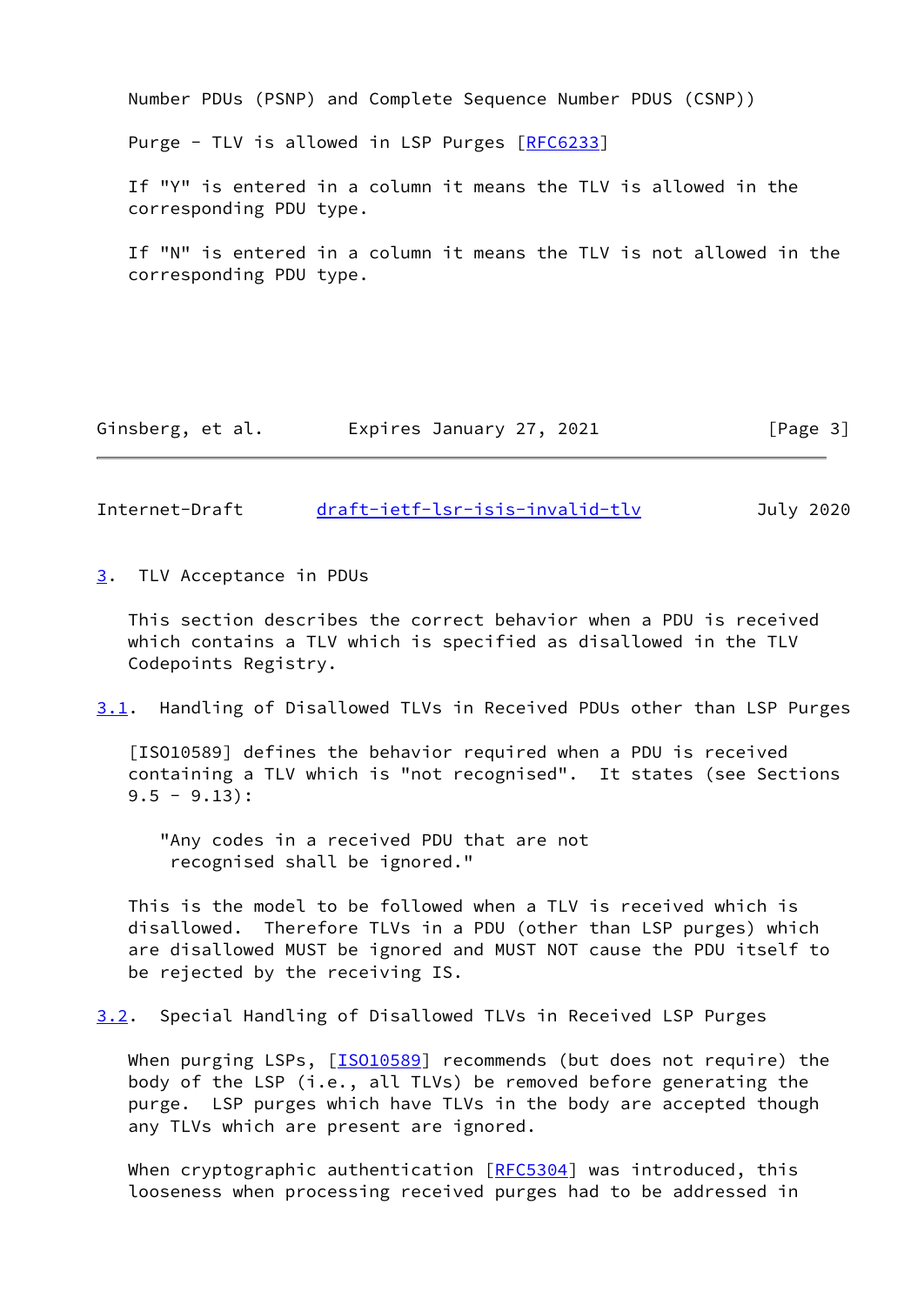Number PDUs (PSNP) and Complete Sequence Number PDUS (CSNP)) Purge - TLV is allowed in LSP Purges [\[RFC6233](https://datatracker.ietf.org/doc/pdf/rfc6233)] If "Y" is entered in a column it means the TLV is allowed in the corresponding PDU type. If "N" is entered in a column it means the TLV is not allowed in the corresponding PDU type.

Ginsberg, et al. Expires January 27, 2021 [Page 3]

<span id="page-3-1"></span>Internet-Draft [draft-ietf-lsr-isis-invalid-tlv](https://datatracker.ietf.org/doc/pdf/draft-ietf-lsr-isis-invalid-tlv) July 2020

<span id="page-3-0"></span>[3](#page-3-0). TLV Acceptance in PDUs

 This section describes the correct behavior when a PDU is received which contains a TLV which is specified as disallowed in the TLV Codepoints Registry.

<span id="page-3-3"></span>[3.1](#page-3-3). Handling of Disallowed TLVs in Received PDUs other than LSP Purges

<span id="page-3-2"></span> [ISO10589] defines the behavior required when a PDU is received containing a TLV which is "not recognised". It states (see Sections  $9.5 - 9.13$ :

 "Any codes in a received PDU that are not recognised shall be ignored."

 This is the model to be followed when a TLV is received which is disallowed. Therefore TLVs in a PDU (other than LSP purges) which are disallowed MUST be ignored and MUST NOT cause the PDU itself to be rejected by the receiving IS.

<span id="page-3-4"></span>[3.2](#page-3-4). Special Handling of Disallowed TLVs in Received LSP Purges

When purging LSPs, [[ISO10589\]](#page-3-2) recommends (but does not require) the body of the LSP (i.e., all TLVs) be removed before generating the purge. LSP purges which have TLVs in the body are accepted though any TLVs which are present are ignored.

When cryptographic authentication  $[REC5304]$  was introduced, this looseness when processing received purges had to be addressed in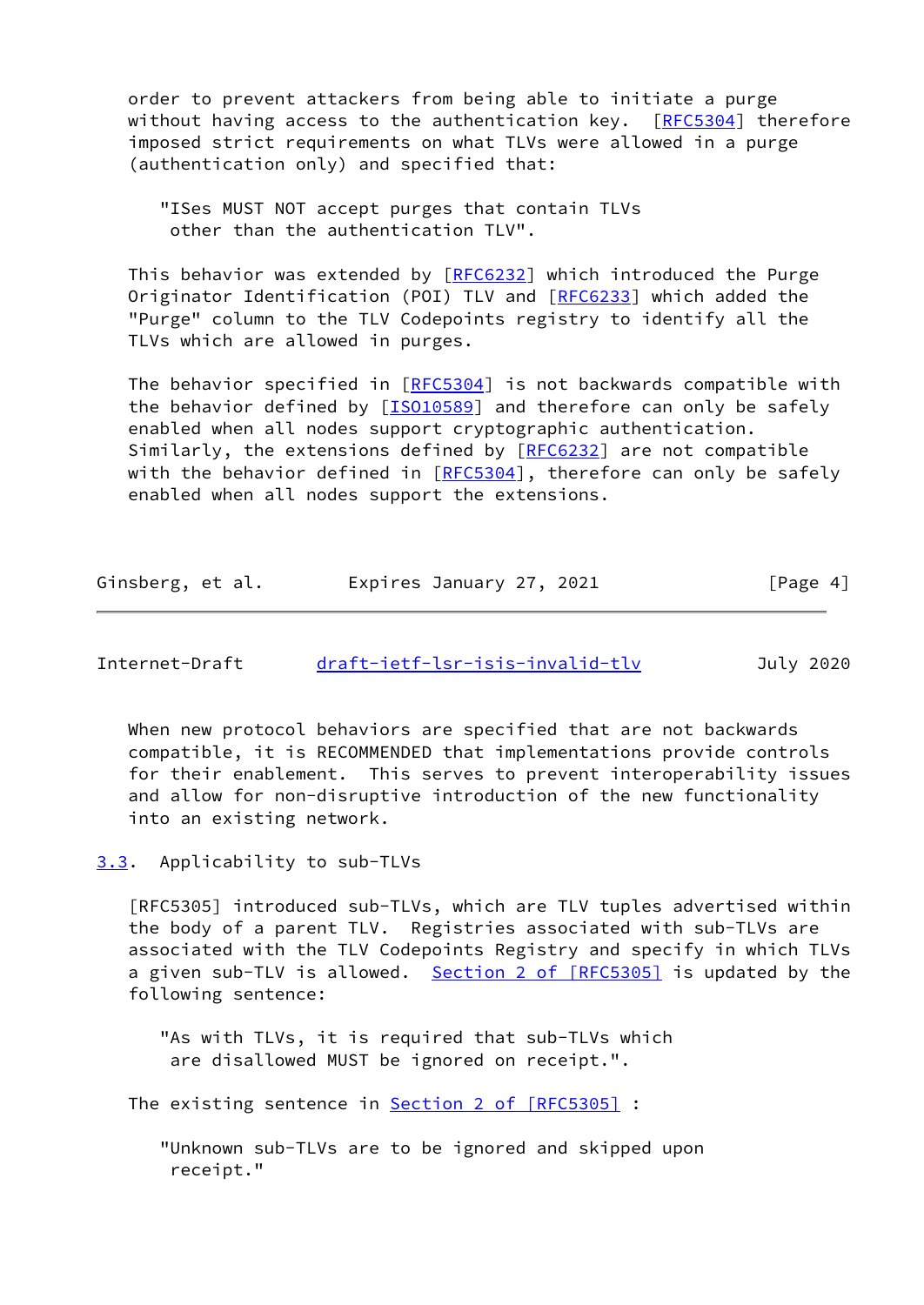order to prevent attackers from being able to initiate a purge without having access to the authentication key.  $[REC5304]$  therefore imposed strict requirements on what TLVs were allowed in a purge (authentication only) and specified that:

 "ISes MUST NOT accept purges that contain TLVs other than the authentication TLV".

 This behavior was extended by [[RFC6232](https://datatracker.ietf.org/doc/pdf/rfc6232)] which introduced the Purge Originator Identification (POI) TLV and [\[RFC6233](https://datatracker.ietf.org/doc/pdf/rfc6233)] which added the "Purge" column to the TLV Codepoints registry to identify all the TLVs which are allowed in purges.

The behavior specified in [[RFC5304](https://datatracker.ietf.org/doc/pdf/rfc5304)] is not backwards compatible with the behavior defined by [\[ISO10589](#page-3-2)] and therefore can only be safely enabled when all nodes support cryptographic authentication. Similarly, the extensions defined by [\[RFC6232](https://datatracker.ietf.org/doc/pdf/rfc6232)] are not compatible with the behavior defined in [\[RFC5304](https://datatracker.ietf.org/doc/pdf/rfc5304)], therefore can only be safely enabled when all nodes support the extensions.

| Ginsberg, et al. | Expires January 27, 2021 | [Page 4] |
|------------------|--------------------------|----------|
|------------------|--------------------------|----------|

<span id="page-4-1"></span>

| Internet-Draft | draft-ietf-lsr-isis-invalid-tlv | July 2020 |
|----------------|---------------------------------|-----------|
|                |                                 |           |

 When new protocol behaviors are specified that are not backwards compatible, it is RECOMMENDED that implementations provide controls for their enablement. This serves to prevent interoperability issues and allow for non-disruptive introduction of the new functionality into an existing network.

<span id="page-4-0"></span>[3.3](#page-4-0). Applicability to sub-TLVs

 [RFC5305] introduced sub-TLVs, which are TLV tuples advertised within the body of a parent TLV. Registries associated with sub-TLVs are associated with the TLV Codepoints Registry and specify in which TLVs a given sub-TLV is allowed. Section [2 of \[RFC5305\]](https://datatracker.ietf.org/doc/pdf/rfc5305#section-2) is updated by the following sentence:

 "As with TLVs, it is required that sub-TLVs which are disallowed MUST be ignored on receipt.".

The existing sentence in **Section [2 of \[RFC5305\]](https://datatracker.ietf.org/doc/pdf/rfc5305#section-2)** :

 "Unknown sub-TLVs are to be ignored and skipped upon receipt."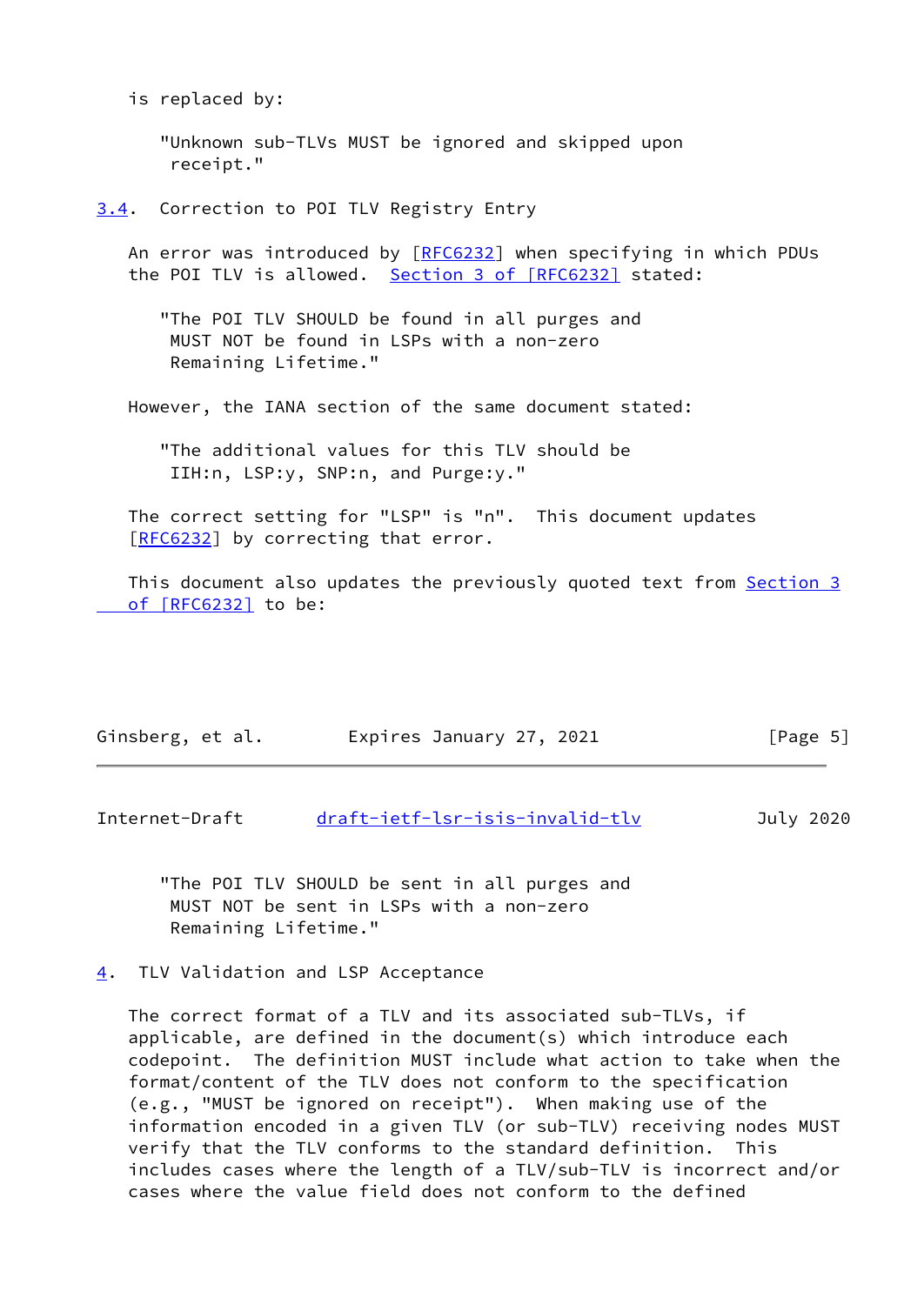is replaced by:

 "Unknown sub-TLVs MUST be ignored and skipped upon receipt."

<span id="page-5-0"></span>[3.4](#page-5-0). Correction to POI TLV Registry Entry

An error was introduced by [[RFC6232\]](https://datatracker.ietf.org/doc/pdf/rfc6232) when specifying in which PDUs the POI TLV is allowed. Section [3 of \[RFC6232\]](https://datatracker.ietf.org/doc/pdf/rfc6232#section-3) stated:

 "The POI TLV SHOULD be found in all purges and MUST NOT be found in LSPs with a non-zero Remaining Lifetime."

However, the IANA section of the same document stated:

 "The additional values for this TLV should be IIH:n, LSP:y, SNP:n, and Purge:y."

 The correct setting for "LSP" is "n". This document updates [\[RFC6232](https://datatracker.ietf.org/doc/pdf/rfc6232)] by correcting that error.

 This document also updates the previously quoted text from [Section](https://datatracker.ietf.org/doc/pdf/rfc6232#section-3) 3  [of \[RFC6232\]](https://datatracker.ietf.org/doc/pdf/rfc6232#section-3) to be:

| Ginsberg, et al. | Expires January 27, 2021 | [Page 5] |
|------------------|--------------------------|----------|
|------------------|--------------------------|----------|

<span id="page-5-2"></span>Internet-Draft [draft-ietf-lsr-isis-invalid-tlv](https://datatracker.ietf.org/doc/pdf/draft-ietf-lsr-isis-invalid-tlv) July 2020

 "The POI TLV SHOULD be sent in all purges and MUST NOT be sent in LSPs with a non-zero Remaining Lifetime."

<span id="page-5-1"></span>[4](#page-5-1). TLV Validation and LSP Acceptance

 The correct format of a TLV and its associated sub-TLVs, if applicable, are defined in the document(s) which introduce each codepoint. The definition MUST include what action to take when the format/content of the TLV does not conform to the specification (e.g., "MUST be ignored on receipt"). When making use of the information encoded in a given TLV (or sub-TLV) receiving nodes MUST verify that the TLV conforms to the standard definition. This includes cases where the length of a TLV/sub-TLV is incorrect and/or cases where the value field does not conform to the defined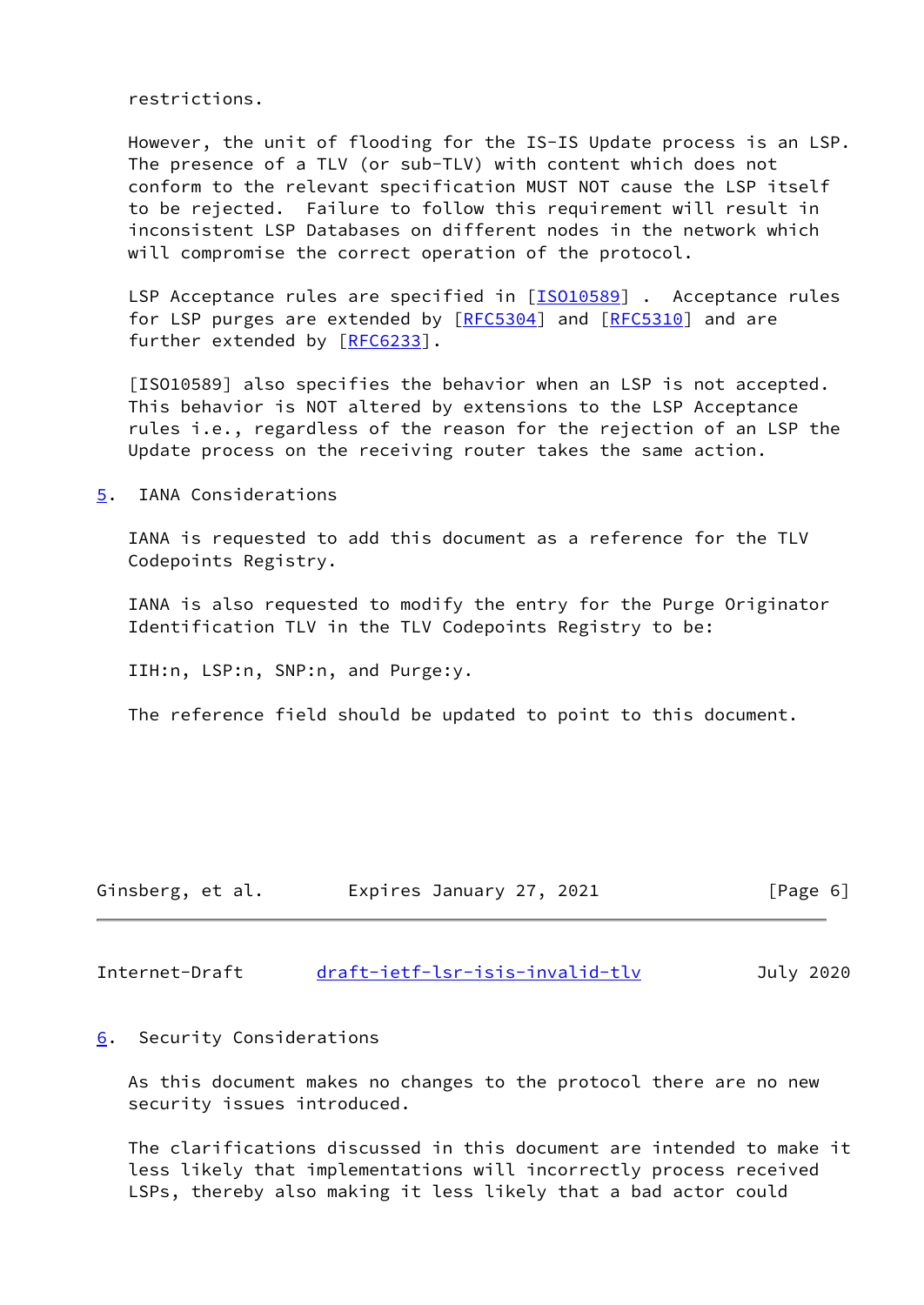restrictions.

 However, the unit of flooding for the IS-IS Update process is an LSP. The presence of a TLV (or sub-TLV) with content which does not conform to the relevant specification MUST NOT cause the LSP itself to be rejected. Failure to follow this requirement will result in inconsistent LSP Databases on different nodes in the network which will compromise the correct operation of the protocol.

LSP Acceptance rules are specified in [[ISO10589\]](#page-3-2). Acceptance rules for LSP purges are extended by  $[REC5304]$  and  $[REC5310]$  and are further extended by [\[RFC6233](https://datatracker.ietf.org/doc/pdf/rfc6233)].

 [ISO10589] also specifies the behavior when an LSP is not accepted. This behavior is NOT altered by extensions to the LSP Acceptance rules i.e., regardless of the reason for the rejection of an LSP the Update process on the receiving router takes the same action.

<span id="page-6-0"></span>[5](#page-6-0). IANA Considerations

 IANA is requested to add this document as a reference for the TLV Codepoints Registry.

 IANA is also requested to modify the entry for the Purge Originator Identification TLV in the TLV Codepoints Registry to be:

IIH:n, LSP:n, SNP:n, and Purge:y.

The reference field should be updated to point to this document.

| Ginsberg, et al. | Expires January 27, 2021 | [Page 6] |  |
|------------------|--------------------------|----------|--|
|                  |                          |          |  |

<span id="page-6-2"></span>Internet-Draft draft-ietf-lsr-isis-invalid-tly July 2020

#### <span id="page-6-1"></span>[6](#page-6-1). Security Considerations

 As this document makes no changes to the protocol there are no new security issues introduced.

 The clarifications discussed in this document are intended to make it less likely that implementations will incorrectly process received LSPs, thereby also making it less likely that a bad actor could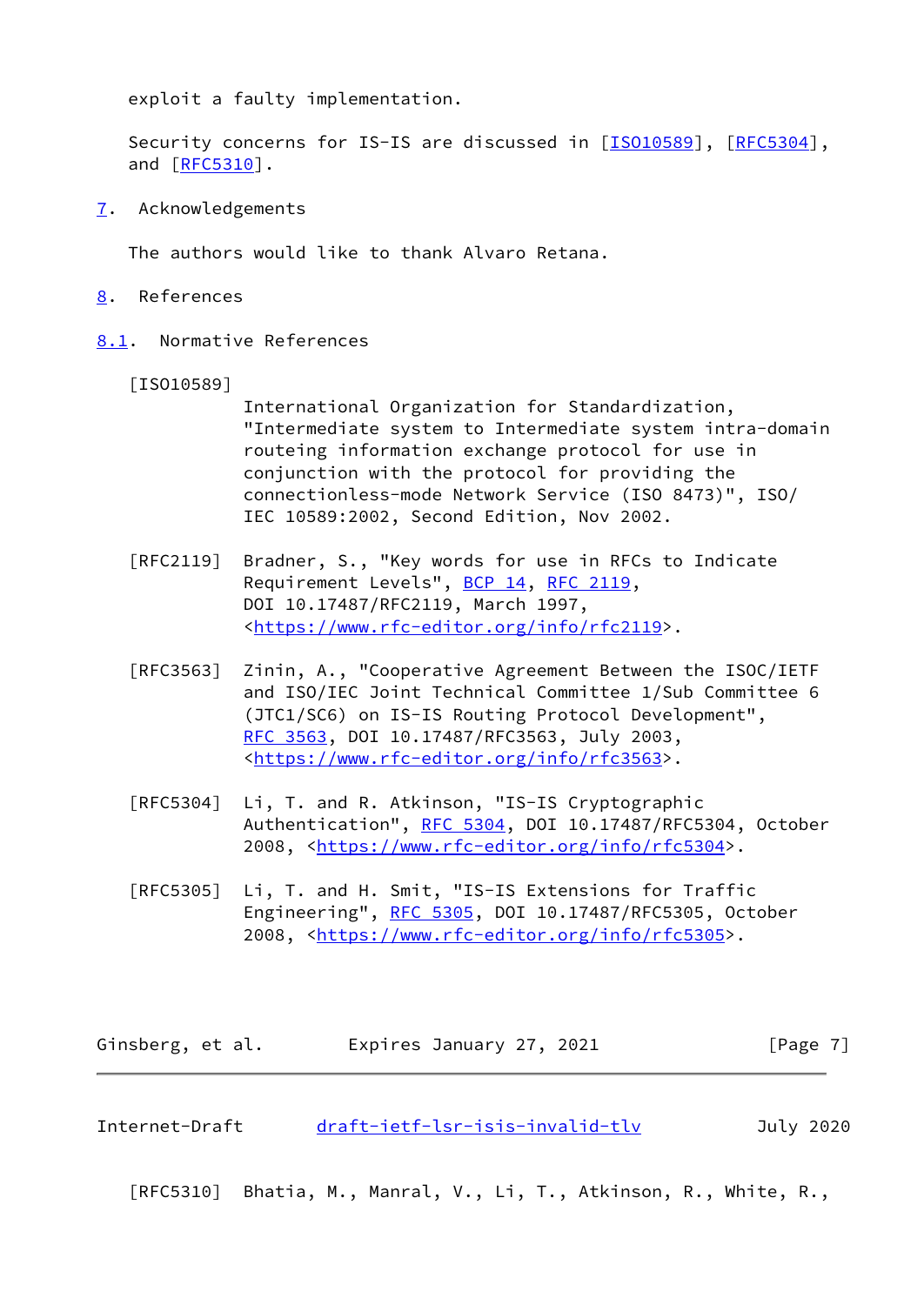exploit a faulty implementation.

 Security concerns for IS-IS are discussed in [\[ISO10589](#page-3-2)], [\[RFC5304](https://datatracker.ietf.org/doc/pdf/rfc5304)], and [\[RFC5310](https://datatracker.ietf.org/doc/pdf/rfc5310)].

<span id="page-7-0"></span>[7](#page-7-0). Acknowledgements

The authors would like to thank Alvaro Retana.

- <span id="page-7-1"></span>[8](#page-7-1). References
- <span id="page-7-2"></span>[8.1](#page-7-2). Normative References

[ISO10589]

 International Organization for Standardization, "Intermediate system to Intermediate system intra-domain routeing information exchange protocol for use in conjunction with the protocol for providing the connectionless-mode Network Service (ISO 8473)", ISO/ IEC 10589:2002, Second Edition, Nov 2002.

- [RFC2119] Bradner, S., "Key words for use in RFCs to Indicate Requirement Levels", [BCP 14](https://datatracker.ietf.org/doc/pdf/bcp14), [RFC 2119](https://datatracker.ietf.org/doc/pdf/rfc2119), DOI 10.17487/RFC2119, March 1997, <[https://www.rfc-editor.org/info/rfc2119>](https://www.rfc-editor.org/info/rfc2119).
- [RFC3563] Zinin, A., "Cooperative Agreement Between the ISOC/IETF and ISO/IEC Joint Technical Committee 1/Sub Committee 6 (JTC1/SC6) on IS-IS Routing Protocol Development", [RFC 3563,](https://datatracker.ietf.org/doc/pdf/rfc3563) DOI 10.17487/RFC3563, July 2003, <[https://www.rfc-editor.org/info/rfc3563>](https://www.rfc-editor.org/info/rfc3563).
- [RFC5304] Li, T. and R. Atkinson, "IS-IS Cryptographic Authentication", [RFC 5304,](https://datatracker.ietf.org/doc/pdf/rfc5304) DOI 10.17487/RFC5304, October 2008, [<https://www.rfc-editor.org/info/rfc5304](https://www.rfc-editor.org/info/rfc5304)>.
- [RFC5305] Li, T. and H. Smit, "IS-IS Extensions for Traffic Engineering", [RFC 5305](https://datatracker.ietf.org/doc/pdf/rfc5305), DOI 10.17487/RFC5305, October 2008, [<https://www.rfc-editor.org/info/rfc5305](https://www.rfc-editor.org/info/rfc5305)>.

Ginsberg, et al. **Expires January 27, 2021** [Page 7]

<span id="page-7-3"></span>Internet-Draft [draft-ietf-lsr-isis-invalid-tlv](https://datatracker.ietf.org/doc/pdf/draft-ietf-lsr-isis-invalid-tlv) July 2020

[RFC5310] Bhatia, M., Manral, V., Li, T., Atkinson, R., White, R.,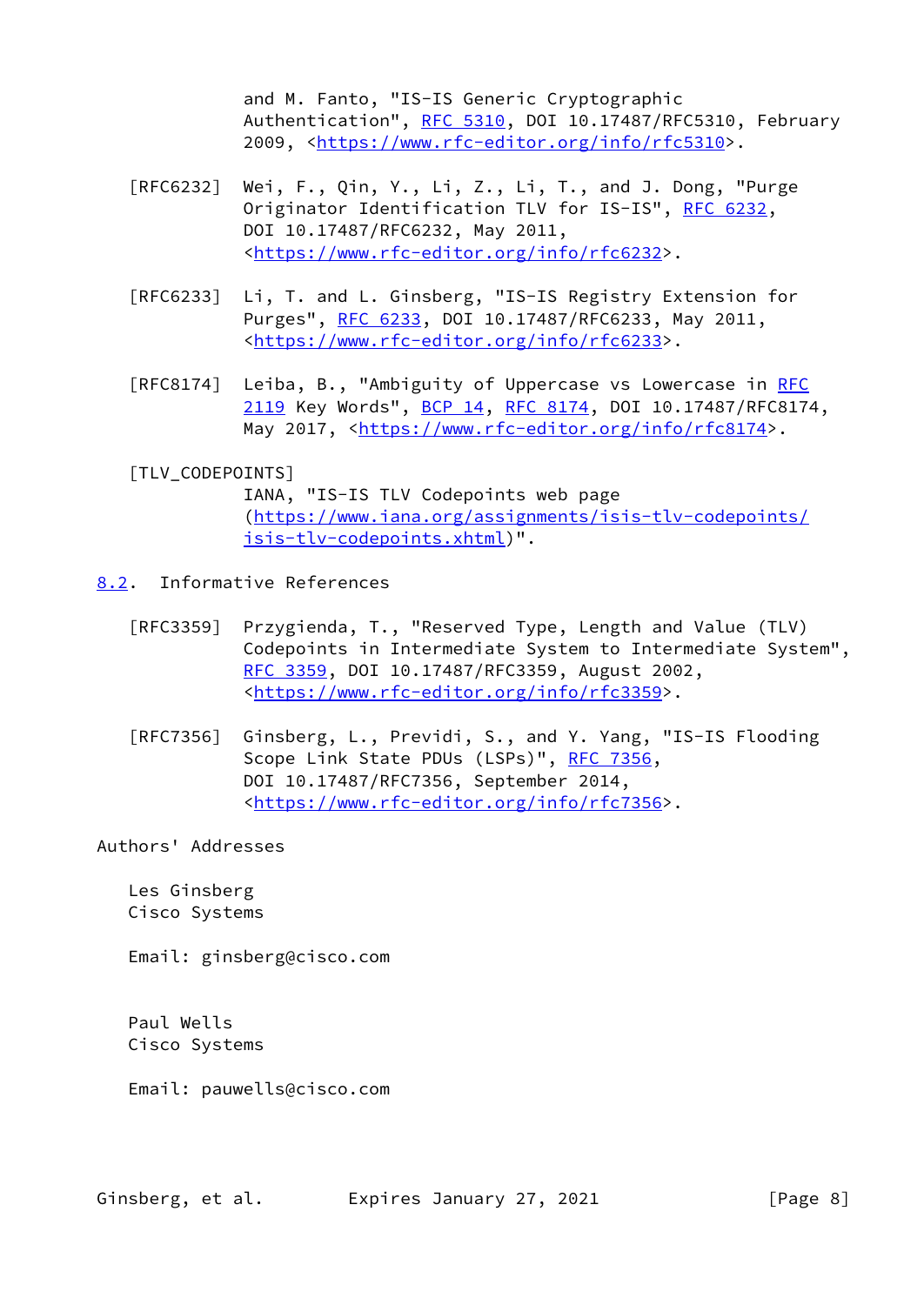and M. Fanto, "IS-IS Generic Cryptographic Authentication", [RFC 5310,](https://datatracker.ietf.org/doc/pdf/rfc5310) DOI 10.17487/RFC5310, February 2009, [<https://www.rfc-editor.org/info/rfc5310](https://www.rfc-editor.org/info/rfc5310)>.

- [RFC6232] Wei, F., Qin, Y., Li, Z., Li, T., and J. Dong, "Purge Originator Identification TLV for IS-IS", [RFC 6232](https://datatracker.ietf.org/doc/pdf/rfc6232), DOI 10.17487/RFC6232, May 2011, <[https://www.rfc-editor.org/info/rfc6232>](https://www.rfc-editor.org/info/rfc6232).
- [RFC6233] Li, T. and L. Ginsberg, "IS-IS Registry Extension for Purges", [RFC 6233,](https://datatracker.ietf.org/doc/pdf/rfc6233) DOI 10.17487/RFC6233, May 2011, <[https://www.rfc-editor.org/info/rfc6233>](https://www.rfc-editor.org/info/rfc6233).
- [RFC8174] Leiba, B., "Ambiguity of Uppercase vs Lowercase in [RFC](https://datatracker.ietf.org/doc/pdf/rfc2119) [2119](https://datatracker.ietf.org/doc/pdf/rfc2119) Key Words", [BCP 14](https://datatracker.ietf.org/doc/pdf/bcp14), [RFC 8174,](https://datatracker.ietf.org/doc/pdf/rfc8174) DOI 10.17487/RFC8174, May 2017, [<https://www.rfc-editor.org/info/rfc8174](https://www.rfc-editor.org/info/rfc8174)>.

## <span id="page-8-1"></span>[TLV\_CODEPOINTS]

 IANA, "IS-IS TLV Codepoints web page ([https://www.iana.org/assignments/isis-tlv-codepoints/](https://www.iana.org/assignments/isis-tlv-codepoints/isis-tlv-codepoints.xhtml) [isis-tlv-codepoints.xhtml\)](https://www.iana.org/assignments/isis-tlv-codepoints/isis-tlv-codepoints.xhtml)".

- <span id="page-8-0"></span>[8.2](#page-8-0). Informative References
	- [RFC3359] Przygienda, T., "Reserved Type, Length and Value (TLV) Codepoints in Intermediate System to Intermediate System", [RFC 3359,](https://datatracker.ietf.org/doc/pdf/rfc3359) DOI 10.17487/RFC3359, August 2002, <[https://www.rfc-editor.org/info/rfc3359>](https://www.rfc-editor.org/info/rfc3359).
	- [RFC7356] Ginsberg, L., Previdi, S., and Y. Yang, "IS-IS Flooding Scope Link State PDUs (LSPs)", [RFC 7356](https://datatracker.ietf.org/doc/pdf/rfc7356), DOI 10.17487/RFC7356, September 2014, <[https://www.rfc-editor.org/info/rfc7356>](https://www.rfc-editor.org/info/rfc7356).

Authors' Addresses

 Les Ginsberg Cisco Systems

Email: ginsberg@cisco.com

 Paul Wells Cisco Systems

Email: pauwells@cisco.com

Ginsberg, et al. Expires January 27, 2021 [Page 8]